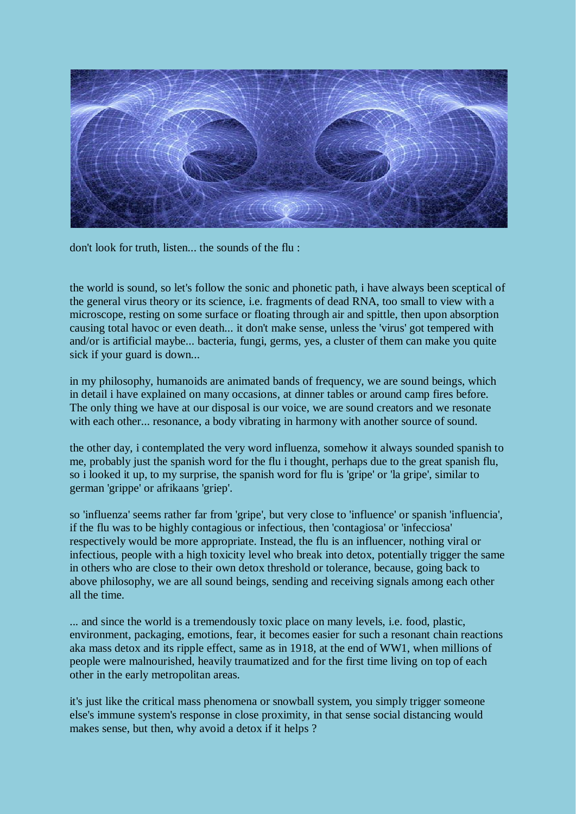

don't look for truth, listen... the sounds of the flu :

the world is sound, so let's follow the sonic and phonetic path, i have always been sceptical of the general virus theory or its science, i.e. fragments of dead RNA, too small to view with a microscope, resting on some surface or floating through air and spittle, then upon absorption causing total havoc or even death... it don't make sense, unless the 'virus' got tempered with and/or is artificial maybe... bacteria, fungi, germs, yes, a cluster of them can make you quite sick if your guard is down...

in my philosophy, humanoids are animated bands of frequency, we are sound beings, which in detail i have explained on many occasions, at dinner tables or around camp fires before. The only thing we have at our disposal is our voice, we are sound creators and we resonate with each other... resonance, a body vibrating in harmony with another source of sound.

the other day, i contemplated the very word influenza, somehow it always sounded spanish to me, probably just the spanish word for the flu i thought, perhaps due to the great spanish flu, so i looked it up, to my surprise, the spanish word for flu is 'gripe' or 'la gripe', similar to german 'grippe' or afrikaans 'griep'.

so 'influenza' seems rather far from 'gripe', but very close to 'influence' or spanish 'influencia', if the flu was to be highly contagious or infectious, then 'contagiosa' or 'infecciosa' respectively would be more appropriate. Instead, the flu is an influencer, nothing viral or infectious, people with a high toxicity level who break into detox, potentially trigger the same in others who are close to their own detox threshold or tolerance, because, going back to above philosophy, we are all sound beings, sending and receiving signals among each other all the time.

... and since the world is a tremendously toxic place on many levels, i.e. food, plastic, environment, packaging, emotions, fear, it becomes easier for such a resonant chain reactions aka mass detox and its ripple effect, same as in 1918, at the end of WW1, when millions of people were malnourished, heavily traumatized and for the first time living on top of each other in the early metropolitan areas.

it's just like the critical mass phenomena or snowball system, you simply trigger someone else's immune system's response in close proximity, in that sense social distancing would makes sense, but then, why avoid a detox if it helps ?